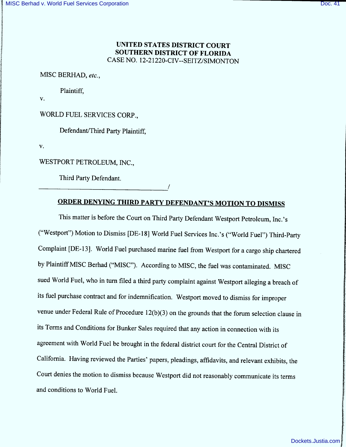### UNITED STATES DISTRICT COURT SOUTHERN DISTRICT OF FLORIDA CASE NO. 12-21220-CIV--SEITZ/SIMONTON

MISC BERHAD, etc.,

Plaintiff,

V.

WORLD FUEL SERVICES CORP..

Defendant/Third Party Plaintiff.

V.

WESTPORT PETROLEUM, INC.,

Third Party Defendant.

# ORDER DENYING THIRD PARTY DEFENDANT'S MOTION TO DISMISS

This matter is before the Court on Third Party Defendant Westport Petroleum, Inc.'s ("Westport") Motion to Dismiss [DE-18] World Fuel Services Inc.'s ("World Fuel") Third-Party Complaint [DE-13]. World Fuel purchased marine fuel from Westport for a cargo ship chartered by Plaintiff MISC Berhad ("MISC"). According to MISC, the fuel was contaminated. MISC sued World Fuel, who in turn filed a third party complaint against Westport alleging a breach of its fuel purchase contract and for indemnification. Westport moved to dismiss for improper venue under Federal Rule of Procedure  $12(b)(3)$  on the grounds that the forum selection clause in its Terms and Conditions for Bunker Sales required that any action in connection with its agreement with World Fuel be brought in the federal district court for the Central District of California. Having reviewed the Parties' papers, pleadings, aftidavits, and relevant exhibits, the Court denies the motion to dismiss because Westport did not reasonably communicate its terms and conditions to World Fuel.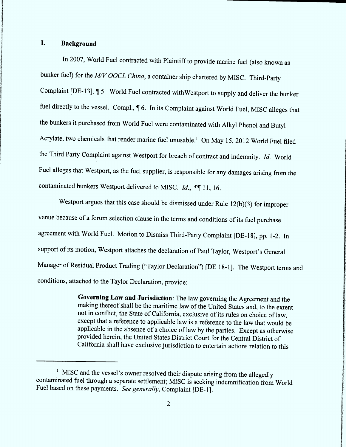## 1. Background

In 2007, World Fuel contracted with Plaintiff to provide marine fuel (also known as bunker fuel) for the  $M/V$  OOCL China, a container ship chartered by MISC. Third-Party Complaint [DE-13],  $\P$  5. World Fuel contracted withWestport to supply and deliver the bunker fuel directly to the vessel. Compl.,  $\P$  6. In its Complaint against World Fuel, MISC alleges that the bunkers it purchased from World Fuel were contaminated with Alkyl Phenol and Butyl Acrylate, two chemicals that render marine fuel unusable.<sup>1</sup> On May 15, 2012 World Fuel filed the Third Party Complaint against Westport for breach of contract and indemnity. Id. World Fuel alleges that Westport, as the fuel supplier, is responsible for any damages arising from the contaminated bunkers Westport delivered to MISC.  $Id.$ ,  $\P\P$  11, 16.

Westport argues that this case should be dismissed under Rule 12(b)(3) for improper venue because of a forum selection clause in the terms and conditions of its fuel purchase agreement with World Fuel. Motion to Dismiss Third-Party Complaint [DE-18], pp. 1-2. In support of its motion, Westport attaches the declaration of Paul Taylor, Westport's General Manager of Residual Product Trading ("Taylor Declaration") [DE 18-1]. The Westport terms and conditions, attached to the Taylor Declaration, provide:

> Governing Law and Jurisdiction: The law governing the Agreement and the making thereof shall be the maritime law of the United States and, to the extent not in conflict, the State of California, exclusive of its rules on choice of law, except that a reference to applicable 1aw is a reference to the law that would be applicable in the absence of a choice of 1aw by the parties. Except as otherwise provided herein, the United States District Court for the Central District of California shall have exclusive jurisdiction to entertain actions relation to this

 $<sup>1</sup>$  MISC and the vessel's owner resolved their dispute arising from the allegedly</sup> contaminated fuel through a separate settlement; MISC is seeking indemnification from World Fuel based on these payments. See generally, Complaint [DE-1].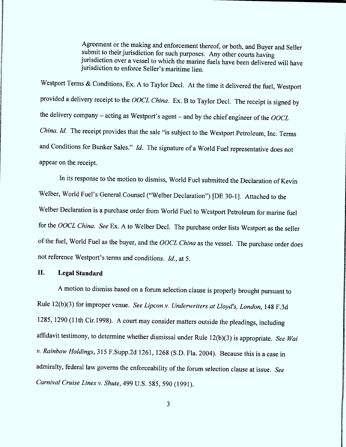Agreement or the making and enforcement thereof, or both, and Buyer and Seller submit to their jurisdiction for such purposes. Any other courts having jurisdiction over a vessel to which the marine fuels have been delivered will have jurisdiction to enforce Seller's maritime lien.

Westport Terms & Conditions, Ex. A to Taylor Decl. At the time it delivered the fuel, Westport provided a delivery receipt to the OOCL China. Ex. B to Taylor Decl. The receipt is signed by the delivery company - acting as Westport's agent - and by the chief engineer of the  $OOCL$ China. Id. The receipt provides that the sale "is subject to the Westport Petroleum, Inc. Terms and Conditions for Bunker Sales."  $Id$ . The signature of a World Fuel representative does not appear on the receipt.

In its response to the motion to dismiss, World Fuel submitted the Declaration of Kevin Welber, World Fuel's General Counsel ("Welber Declaration") [DE 30-1]. Attached to the Welber Declaration is a purchase order from World Fuel to Westport Petroleum for marine fuel for the OOCL China. See Ex. A to Welber Decl. The purchase order lists Westport as the seller of the fuel, World Fuel as the buyer, and the OOCL China as the vessel. The purchase order does not reference Westport's terms and conditions. Id., at 5.

#### Il. Legal Standard

A motion to dismiss based on a forum selection clause is properly brought pursuant to Rule 12(b)(3) for improper venue. See Lipcon v. Underwriters at Lloyd's, London, 148 F.3d 1285, 1290 (1 1th Cir.1998). A court may consider matters outside the pleadings, including affidavit testimony, to determine whether dismissal under Rule  $12(b)(3)$  is appropriate. See Wai v. Rainbow Holdings, 315 F.supp.zd 1261, 1268 (S.D. Fla. 2004). Because this is a case in admiralty, federal law governs the enforceability of the forum selection clause at issue. See Carnival Cruise Lines v. Shute, 499 U.S. 585, 590 (1991).

3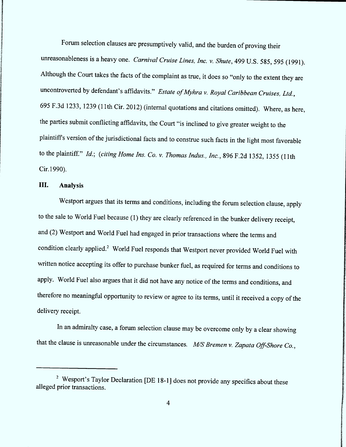Forum selection clauses are presumptively valid, and the burden of proving their unreasonableness is a heavy one. Carnival Cruise Lines, Inc. v. Shute, 499 U.S. 585, 595 (1991). Although the Court takes the facts of the complaint as true, it does so "only to the extent they are uncontroverted by defendant's affidavits." Estate of Myhra v. Royal Caribbean Cruises, Ltd., 695 F.3d 1233, 1239 (11th Cir. 2012) (internal quotations and citations omitted). Where, as here, the parties submit conflicting affidavits, the Court "is inclined to give greater weight to the plaintiff's version of the jurisdictional facts and to construe such facts in the light most favorable to the plaintiff." Id.; (citing Home Ins. Co. v. Thomas Indus., Inc., 896 F.2d 1352, 1355 (11th Cir.1990).

## III. Analysis

Westport argues that its terms and conditions, including the forum selection clause, apply to the sale to World Fuel because (1) they are clearly referenced in the bunker delivery receipt, and (2) Westport and World Fuel had engaged in prior transactions where the terms and condition clearly applied.<sup>2</sup> World Fuel responds that Westport never provided World Fuel with written notice accepting its offer to purchase bunker fuel, as required for terms and conditions to apply. World Fuel also argues that it did not have any notice of the terms and conditions, and therefore no meaningful opportunity to review or agree to its terms, until it received a copy of the delivery receipt.

In an admiralty case, a forum selection clause may be overcome only by a clear showing that the clause is unreasonable under the circumstances.  $M/S$  Bremen v. Zapata Off-Shore Co.,

<sup>&</sup>lt;sup>2</sup> Wesport's Taylor Declaration [DE 18-1] does not provide any specifics about these alleged prior transactions.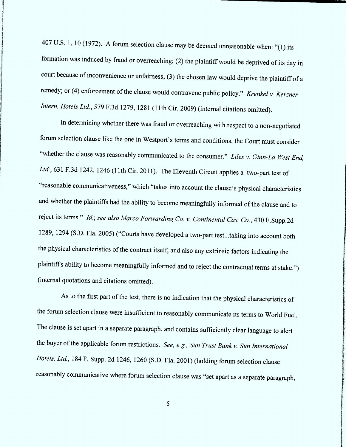407 U.S. 1, 10 (1972). A forum selection clause may be deemed unreasonable when: "(1) its formation was induced by fraud or overreaching; (2) the plaintiff would be deprived of its day in court because of inconvenience or unfairness; (3) the chosen law would deprive the plaintiff of a remedy; or (4) enforcement of the clause would contravene public policy." Krenkel v. Kerzner Intern. Hotels Ltd., 579 F.3d 1279, 1281 (11th Cir. 2009) (internal citations omitted).

In determining whether there was fraud or overreaching with respect to a non-negotiated forum selection clause like the one in Westport's terms and conditions, the Court must consider "whether the clause was reasonably communicated to the consumer." Liles v. Ginn-La West End, Ltd., 631 F.3d 1242, 1246 (11th Cir. 2011). The Eleventh Circuit applies a two-part test of "reasonable communicativeness," which "takes into account the clause's physical characteristics and whether the plaintiffs had the ability to become meaningfully informed of the clause and to reject its terms." Id.; see also Marco Forwarding Co. v. Continental Cas. Co., 430 F.Supp.2d 1289, 1294 (S.D. Fla. 2005) ("Courts have developed a two-part test...taking into account both the physical characteristics of the contract itself, and also any extrinsic factors indicating the plaintiff's ability to become meaningfully informed and to reject the contractual terms at stake.") (intemal quotations and citations omitted).

As to the tirst part of the test, there is no indication that the physical characteristics of the forum selection clause were insufficient to reasonably communicate its terms to World Fuel. The clause is set apart in a separate paragraph, and contains sufticiently clear language to alert the buyer of the applicable forum restrictions. See, e.g., Sun Trust Bank v. Sun International Hotels, Ltd., 184 F. Supp. 2d 1246, 1260 (S.D. Fla. 2001) (holding forum selection clause reasonably communicative where forum selection clause was "set apart as a separate paragraph,

5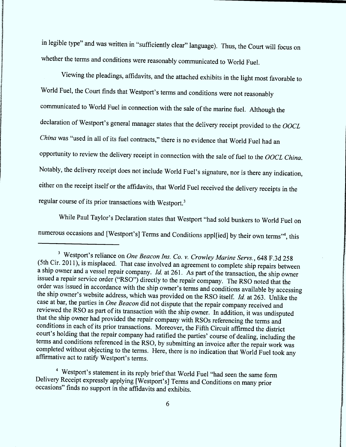in legible type" and was written in "sufficiently clear" language). Thus, the Court will focus on whether the terms and conditions were reasonably communicated to World Fuel.

Viewing the pleadings, affidavits, and the attached exhibits in the light most favorable to World Fuel, the Court finds that Westport's terms and conditions were not reasonably communicated to World Fuel in connection with the sale of the marine fuel. Although the declaration of Westport's general manager states that the delivery receipt provided to the OOCL China was "used in all of its fuel contracts," there is no evidence that World Fuel had an opportunity to review the delivery receipt in connection with the sale of fuel to the *OOCL China*. Notably, the delivery receipt does not include World Fuel's signature, nor is there any indication, either on the receipt itself or the affidavits, that World Fuel received the delivery receipts in the regular course of its prior transactions with Westport.<sup>3</sup>

While Paul Taylor's Declaration states that Westport "had sold bunkers to World Fuel on numerous occasions and [Westport's] Terms and Conditions appl[ied] by their own terms"<sup>4</sup>, this

<sup>&</sup>lt;sup>3</sup> Westport's reliance on *One Beacon Ins. Co. v. Crowley Marine Servs.*, 648 F.3d 258  $(5th Cir. 2011)$ , is misplaced. That case involved an agreement to complete ship repairs between a ship owner and a vessel repair company. *Id.* at 261. As part of the transaction, the ship owner issued a repair service order ("RSO") directly to the repair company. The RSO noted that the order was issued in accordance with the ship owner's terms and conditions available by accessing the ship owner's website address, which was provided on the RSO itself. *Id.* at 263. Unlike the case at bar, the parties in *One Beacon* did not dispute that the repair company received and reviewed the RSO as part of its transaction with the ship owner. In addition, it was undisputed<br>that the ship owner had provided the repair company with RSOs referencing the terms and<br>conditions in each of its prior transa court's holding that the repair company had ratified the parties' course of dealing , including the terms and conditions referenced in the RSO, by submitting an invoice after the repair work was completed without objecting to the terms. Here, there is no indication that World Fuel took any affirmative act to ratify Westport's terms.

<sup>&</sup>lt;sup>4</sup> Westport's statement in its reply brief that World Fuel "had seen the same form Delivery Receipt expressly applying [Westport's] Terms and Conditions on many prior occasions'' finds no support in the affidavits and exhibits.